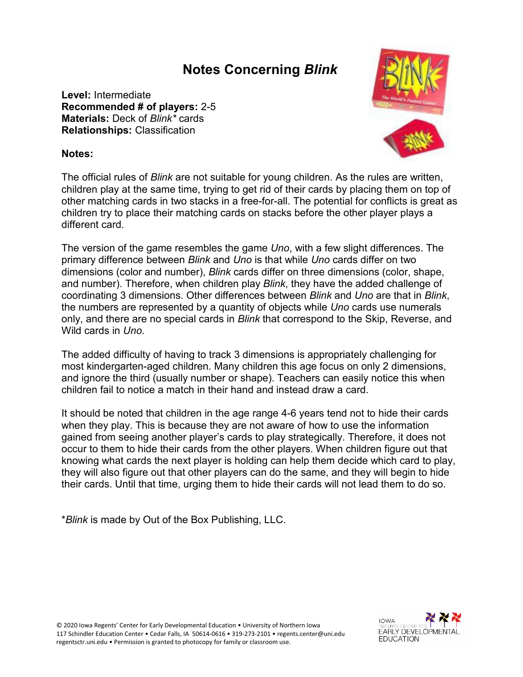## **Notes Concerning** *Blink*

**Level:** Intermediate **Recommended # of players:** 2-5 **Materials:** Deck of *Blink\** cards **Relationships:** Classification



## **Notes:**

The official rules of *Blink* are not suitable for young children. As the rules are written, children play at the same time, trying to get rid of their cards by placing them on top of other matching cards in two stacks in a free-for-all. The potential for conflicts is great as children try to place their matching cards on stacks before the other player plays a different card.

The version of the game resembles the game *Uno*, with a few slight differences. The primary difference between *Blink* and *Uno* is that while *Uno* cards differ on two dimensions (color and number), *Blink* cards differ on three dimensions (color, shape, and number). Therefore, when children play *Blink*, they have the added challenge of coordinating 3 dimensions. Other differences between *Blink* and *Uno* are that in *Blink*, the numbers are represented by a quantity of objects while *Uno* cards use numerals only, and there are no special cards in *Blink* that correspond to the Skip, Reverse, and Wild cards in *Uno*.

The added difficulty of having to track 3 dimensions is appropriately challenging for most kindergarten-aged children. Many children this age focus on only 2 dimensions, and ignore the third (usually number or shape). Teachers can easily notice this when children fail to notice a match in their hand and instead draw a card.

It should be noted that children in the age range 4-6 years tend not to hide their cards when they play. This is because they are not aware of how to use the information gained from seeing another player's cards to play strategically. Therefore, it does not occur to them to hide their cards from the other players. When children figure out that knowing what cards the next player is holding can help them decide which card to play, they will also figure out that other players can do the same, and they will begin to hide their cards. Until that time, urging them to hide their cards will not lead them to do so.

\**Blink* is made by Out of the Box Publishing, LLC.

© 2020 Iowa Regents' Center for Early Developmental Education • University of Northern Iowa 117 Schindler Education Center • Cedar Falls, IA 50614-0616 • 319-273-2101 • regents.center@uni.edu regentsctr.uni.edu • Permission is granted to photocopy for family or classroom use.